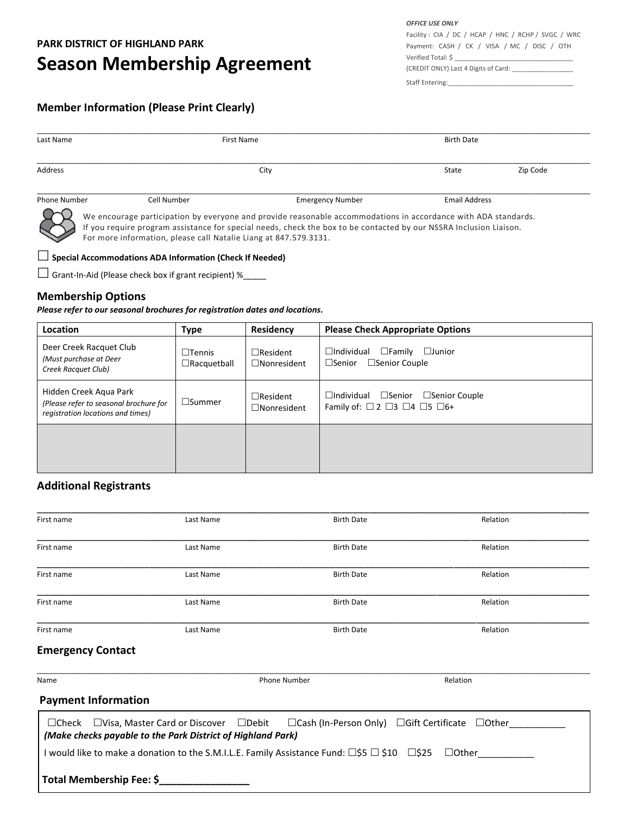# **Season Membership Agreement**

*OFFICE USE ONLY* Facility : CIA / DC / HCAP / HNC / RCHP / SVGC / WRC Payment: CASH / CK / VISA / MC / DISC / OTH Verified Total: \$ (CREDIT ONLY) Last 4 Digits of Card: \_\_\_\_\_\_\_\_\_\_\_\_\_\_\_\_\_

Staff Entering:

## **Member Information (Please Print Clearly)**

| Last Name    | First Name  |                         | <b>Birth Date</b>    |          |
|--------------|-------------|-------------------------|----------------------|----------|
| Address      | City        |                         | State                | Zip Code |
| Phone Number | Cell Number | <b>Emergency Number</b> | <b>Email Address</b> |          |

We encourage participation by everyone and provide reasonable accommodations in accordance with ADA standards. If you require program assistance for special needs, check the box to be contacted by our NSSRA Inclusion Liaison. For more information, please call Natalie Liang at 847.579.3131.

#### **Special Accommodations ADA Information (Check If Needed)**

 $\Box$  Grant-In-Aid (Please check box if grant recipient) %\_\_\_\_\_

### **Membership Options**

*Please refer to our seasonal brochures for registration dates and locations.* 

| Location                                                                                              | Type                                   | Residency                             | <b>Please Check Appropriate Options</b>                                                                                   |
|-------------------------------------------------------------------------------------------------------|----------------------------------------|---------------------------------------|---------------------------------------------------------------------------------------------------------------------------|
| Deer Creek Racquet Club<br>(Must purchase at Deer<br>Creek Racquet Club)                              | $\square$ Tennis<br>$\Box$ Racquetball | $\Box$ Resident<br>$\Box$ Nonresident | $\Box$ Individual<br>$\Box$ Family<br>$\Box$ Junior<br>$\Box$ Senior Couple<br>$\Box$ Senior                              |
| Hidden Creek Aqua Park<br>(Please refer to seasonal brochure for<br>registration locations and times) | $\square$ Summer                       | $\Box$ Resident<br>$\Box$ Nonresident | $\Box$ Individual<br>$\square$ Senior<br>$\Box$ Senior Couple<br>Family of: $\Box$ 2 $\Box$ 3 $\Box$ 4 $\Box$ 5 $\Box$ 6+ |
|                                                                                                       |                                        |                                       |                                                                                                                           |

#### **Additional Registrants**

| First name                 | Last Name                                                                                                                     | <b>Birth Date</b>                                                 | Relation     |  |
|----------------------------|-------------------------------------------------------------------------------------------------------------------------------|-------------------------------------------------------------------|--------------|--|
| First name                 | Last Name                                                                                                                     | <b>Birth Date</b>                                                 | Relation     |  |
| First name                 | Last Name                                                                                                                     | <b>Birth Date</b>                                                 | Relation     |  |
| First name                 | Last Name                                                                                                                     | <b>Birth Date</b>                                                 | Relation     |  |
| First name                 | Last Name                                                                                                                     | <b>Birth Date</b>                                                 | Relation     |  |
| <b>Emergency Contact</b>   |                                                                                                                               |                                                                   |              |  |
| Name                       |                                                                                                                               | <b>Phone Number</b>                                               | Relation     |  |
| <b>Payment Information</b> |                                                                                                                               |                                                                   |              |  |
|                            | $\Box$ Check $\Box$ Visa, Master Card or Discover $\Box$ Debit<br>(Make checks payable to the Park District of Highland Park) | $\Box$ Cash (In-Person Only) $\Box$ Gift Certificate $\Box$ Other |              |  |
|                            | I would like to make a donation to the S.M.I.L.E. Family Assistance Fund: □\$5 □ \$10 □\$25                                   |                                                                   | $\Box$ Other |  |
| Total Membership Fee: \$   |                                                                                                                               |                                                                   |              |  |